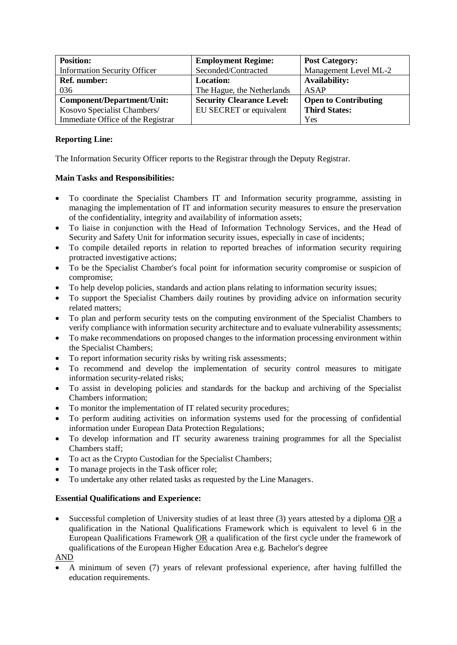| <b>Position:</b>                    | <b>Employment Regime:</b>        | <b>Post Category:</b>       |
|-------------------------------------|----------------------------------|-----------------------------|
| <b>Information Security Officer</b> | Seconded/Contracted              | Management Level ML-2       |
| <b>Ref. number:</b>                 | <b>Location:</b>                 | <b>Availability:</b>        |
| 036                                 | The Hague, the Netherlands       | <b>ASAP</b>                 |
| Component/Department/Unit:          | <b>Security Clearance Level:</b> | <b>Open to Contributing</b> |
| Kosovo Specialist Chambers/         | EU SECRET or equivalent          | <b>Third States:</b>        |
| Immediate Office of the Registrar   |                                  | Yes                         |

## **Reporting Line:**

The Information Security Officer reports to the Registrar through the Deputy Registrar.

## **Main Tasks and Responsibilities:**

- To coordinate the Specialist Chambers IT and Information security programme, assisting in managing the implementation of IT and information security measures to ensure the preservation of the confidentiality, integrity and availability of information assets;
- To liaise in conjunction with the Head of Information Technology Services, and the Head of Security and Safety Unit for information security issues, especially in case of incidents;
- To compile detailed reports in relation to reported breaches of information security requiring protracted investigative actions;
- To be the Specialist Chamber's focal point for information security compromise or suspicion of compromise;
- To help develop policies, standards and action plans relating to information security issues;
- To support the Specialist Chambers daily routines by providing advice on information security related matters;
- To plan and perform security tests on the computing environment of the Specialist Chambers to verify compliance with information security architecture and to evaluate vulnerability assessments;
- To make recommendations on proposed changes to the information processing environment within the Specialist Chambers;
- To report information security risks by writing risk assessments;
- To recommend and develop the implementation of security control measures to mitigate information security-related risks;
- To assist in developing policies and standards for the backup and archiving of the Specialist Chambers information;
- To monitor the implementation of IT related security procedures;
- To perform auditing activities on information systems used for the processing of confidential information under European Data Protection Regulations;
- To develop information and IT security awareness training programmes for all the Specialist Chambers staff;
- To act as the Crypto Custodian for the Specialist Chambers;
- To manage projects in the Task officer role;
- To undertake any other related tasks as requested by the Line Managers.

## **Essential Qualifications and Experience:**

Successful completion of University studies of at least three (3) years attested by a diploma OR a qualification in the National Qualifications Framework which is equivalent to level 6 in the European Qualifications Framework  $OR$  a qualification of the first cycle under the framework of qualifications of the European Higher Education Area e.g. Bachelor's degree

## AND

• A minimum of seven (7) years of relevant professional experience, after having fulfilled the education requirements.